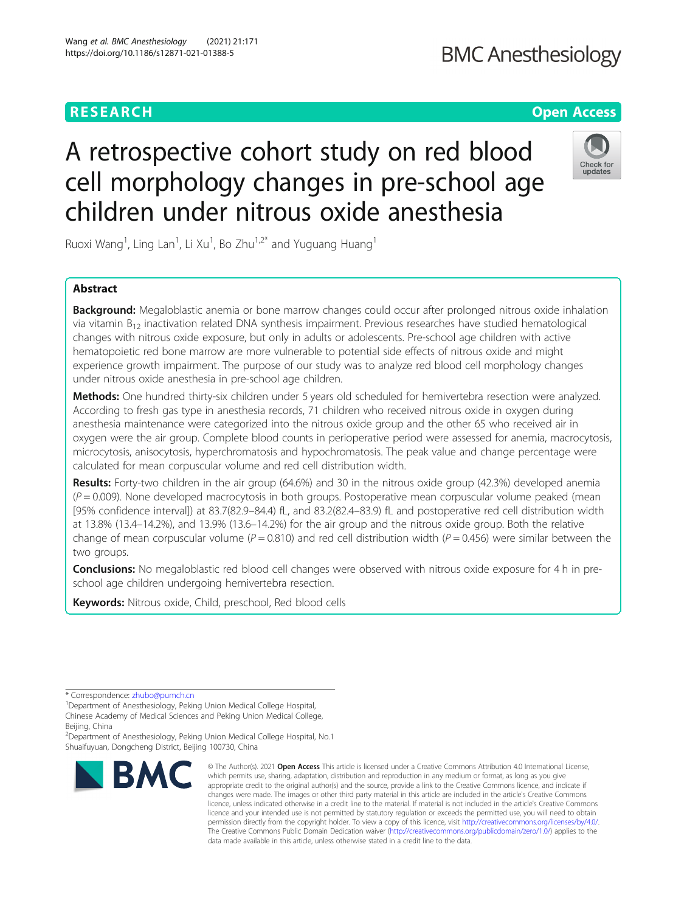# **BMC Anesthesiology**

# **RESEARCH CHEAR CHEAR CHEAR CHEAR CHEAR CHEAP CONTROL**

# A retrospective cohort study on red blood cell morphology changes in pre-school age children under nitrous oxide anesthesia



Ruoxi Wang<sup>1</sup>, Ling Lan<sup>1</sup>, Li Xu<sup>1</sup>, Bo Zhu<sup>1,2\*</sup> and Yuguang Huang<sup>1</sup>

# Abstract

Background: Megaloblastic anemia or bone marrow changes could occur after prolonged nitrous oxide inhalation via vitamin B12 inactivation related DNA synthesis impairment. Previous researches have studied hematological changes with nitrous oxide exposure, but only in adults or adolescents. Pre-school age children with active hematopoietic red bone marrow are more vulnerable to potential side effects of nitrous oxide and might experience growth impairment. The purpose of our study was to analyze red blood cell morphology changes under nitrous oxide anesthesia in pre-school age children.

Methods: One hundred thirty-six children under 5 years old scheduled for hemivertebra resection were analyzed. According to fresh gas type in anesthesia records, 71 children who received nitrous oxide in oxygen during anesthesia maintenance were categorized into the nitrous oxide group and the other 65 who received air in oxygen were the air group. Complete blood counts in perioperative period were assessed for anemia, macrocytosis, microcytosis, anisocytosis, hyperchromatosis and hypochromatosis. The peak value and change percentage were calculated for mean corpuscular volume and red cell distribution width.

Results: Forty-two children in the air group (64.6%) and 30 in the nitrous oxide group (42.3%) developed anemia  $(P = 0.009)$ . None developed macrocytosis in both groups. Postoperative mean corpuscular volume peaked (mean [95% confidence interval]) at 83.7(82.9–84.4) fL, and 83.2(82.4–83.9) fL and postoperative red cell distribution width at 13.8% (13.4–14.2%), and 13.9% (13.6–14.2%) for the air group and the nitrous oxide group. Both the relative change of mean corpuscular volume ( $P = 0.810$ ) and red cell distribution width ( $P = 0.456$ ) were similar between the two groups.

**Conclusions:** No megaloblastic red blood cell changes were observed with nitrous oxide exposure for 4 h in preschool age children undergoing hemivertebra resection.

Keywords: Nitrous oxide, Child, preschool, Red blood cells

\* Correspondence: [zhubo@pumch.cn](mailto:zhubo@pumch.cn) <sup>1</sup>

<sup>1</sup>Department of Anesthesiology, Peking Union Medical College Hospital, Chinese Academy of Medical Sciences and Peking Union Medical College, Beijing, China

<sup>2</sup>Department of Anesthesiology, Peking Union Medical College Hospital, No.1 Shuaifuyuan, Dongcheng District, Beijing 100730, China



© The Author(s), 2021 **Open Access** This article is licensed under a Creative Commons Attribution 4.0 International License, which permits use, sharing, adaptation, distribution and reproduction in any medium or format, as long as you give appropriate credit to the original author(s) and the source, provide a link to the Creative Commons licence, and indicate if changes were made. The images or other third party material in this article are included in the article's Creative Commons licence, unless indicated otherwise in a credit line to the material. If material is not included in the article's Creative Commons licence and your intended use is not permitted by statutory regulation or exceeds the permitted use, you will need to obtain permission directly from the copyright holder. To view a copy of this licence, visit [http://creativecommons.org/licenses/by/4.0/.](http://creativecommons.org/licenses/by/4.0/) The Creative Commons Public Domain Dedication waiver [\(http://creativecommons.org/publicdomain/zero/1.0/](http://creativecommons.org/publicdomain/zero/1.0/)) applies to the data made available in this article, unless otherwise stated in a credit line to the data.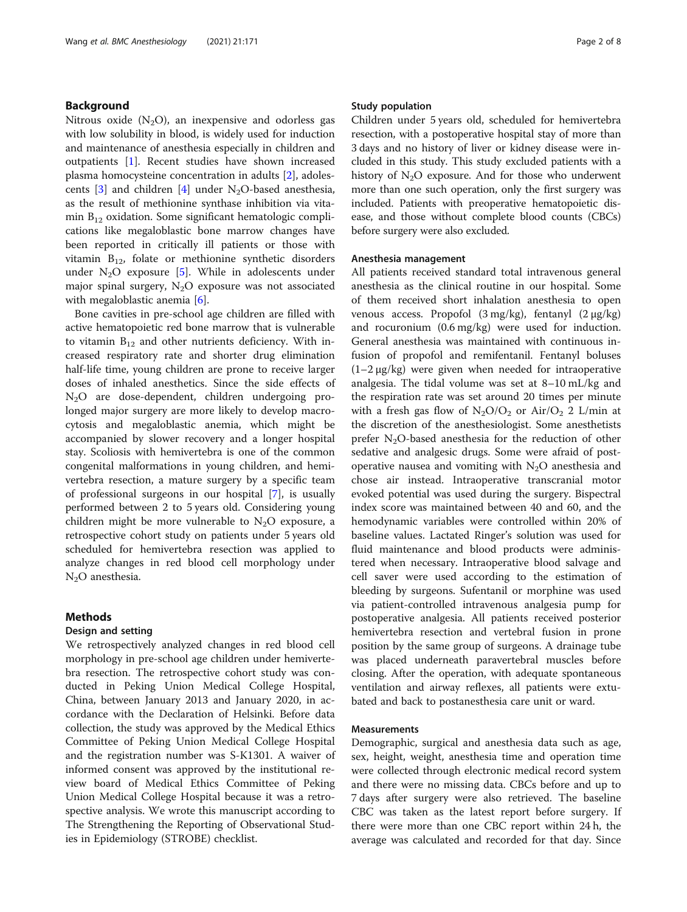# Background

Nitrous oxide  $(N_2O)$ , an inexpensive and odorless gas with low solubility in blood, is widely used for induction and maintenance of anesthesia especially in children and outpatients [\[1](#page-6-0)]. Recent studies have shown increased plasma homocysteine concentration in adults [\[2](#page-6-0)], adolescents  $[3]$  $[3]$  and children  $[4]$  $[4]$  under N<sub>2</sub>O-based anesthesia, as the result of methionine synthase inhibition via vitamin  $B_{12}$  oxidation. Some significant hematologic complications like megaloblastic bone marrow changes have been reported in critically ill patients or those with vitamin  $B_{12}$ , folate or methionine synthetic disorders under  $N_2O$  exposure [[5](#page-7-0)]. While in adolescents under major spinal surgery,  $N_2O$  exposure was not associated with megaloblastic anemia [\[6](#page-7-0)].

Bone cavities in pre-school age children are filled with active hematopoietic red bone marrow that is vulnerable to vitamin  $B_{12}$  and other nutrients deficiency. With increased respiratory rate and shorter drug elimination half-life time, young children are prone to receive larger doses of inhaled anesthetics. Since the side effects of N2O are dose-dependent, children undergoing prolonged major surgery are more likely to develop macrocytosis and megaloblastic anemia, which might be accompanied by slower recovery and a longer hospital stay. Scoliosis with hemivertebra is one of the common congenital malformations in young children, and hemivertebra resection, a mature surgery by a specific team of professional surgeons in our hospital [[7\]](#page-7-0), is usually performed between 2 to 5 years old. Considering young children might be more vulnerable to  $N_2O$  exposure, a retrospective cohort study on patients under 5 years old scheduled for hemivertebra resection was applied to analyze changes in red blood cell morphology under  $N<sub>2</sub>O$  anesthesia.

# Methods

#### Design and setting

We retrospectively analyzed changes in red blood cell morphology in pre-school age children under hemivertebra resection. The retrospective cohort study was conducted in Peking Union Medical College Hospital, China, between January 2013 and January 2020, in accordance with the Declaration of Helsinki. Before data collection, the study was approved by the Medical Ethics Committee of Peking Union Medical College Hospital and the registration number was S-K1301. A waiver of informed consent was approved by the institutional review board of Medical Ethics Committee of Peking Union Medical College Hospital because it was a retrospective analysis. We wrote this manuscript according to The Strengthening the Reporting of Observational Studies in Epidemiology (STROBE) checklist.

#### Study population

Children under 5 years old, scheduled for hemivertebra resection, with a postoperative hospital stay of more than 3 days and no history of liver or kidney disease were included in this study. This study excluded patients with a history of  $N_2O$  exposure. And for those who underwent more than one such operation, only the first surgery was included. Patients with preoperative hematopoietic disease, and those without complete blood counts (CBCs) before surgery were also excluded.

#### Anesthesia management

All patients received standard total intravenous general anesthesia as the clinical routine in our hospital. Some of them received short inhalation anesthesia to open venous access. Propofol (3 mg/kg), fentanyl (2 μg/kg) and rocuronium (0.6 mg/kg) were used for induction. General anesthesia was maintained with continuous infusion of propofol and remifentanil. Fentanyl boluses (1–2 μg/kg) were given when needed for intraoperative analgesia. The tidal volume was set at 8–10 mL/kg and the respiration rate was set around 20 times per minute with a fresh gas flow of  $N_2O/O_2$  or Air/O<sub>2</sub> 2 L/min at the discretion of the anesthesiologist. Some anesthetists prefer  $N<sub>2</sub>O$ -based anesthesia for the reduction of other sedative and analgesic drugs. Some were afraid of postoperative nausea and vomiting with  $N_2O$  anesthesia and chose air instead. Intraoperative transcranial motor evoked potential was used during the surgery. Bispectral index score was maintained between 40 and 60, and the hemodynamic variables were controlled within 20% of baseline values. Lactated Ringer's solution was used for fluid maintenance and blood products were administered when necessary. Intraoperative blood salvage and cell saver were used according to the estimation of bleeding by surgeons. Sufentanil or morphine was used via patient-controlled intravenous analgesia pump for postoperative analgesia. All patients received posterior hemivertebra resection and vertebral fusion in prone position by the same group of surgeons. A drainage tube was placed underneath paravertebral muscles before closing. After the operation, with adequate spontaneous ventilation and airway reflexes, all patients were extubated and back to postanesthesia care unit or ward.

#### Measurements

Demographic, surgical and anesthesia data such as age, sex, height, weight, anesthesia time and operation time were collected through electronic medical record system and there were no missing data. CBCs before and up to 7 days after surgery were also retrieved. The baseline CBC was taken as the latest report before surgery. If there were more than one CBC report within 24 h, the average was calculated and recorded for that day. Since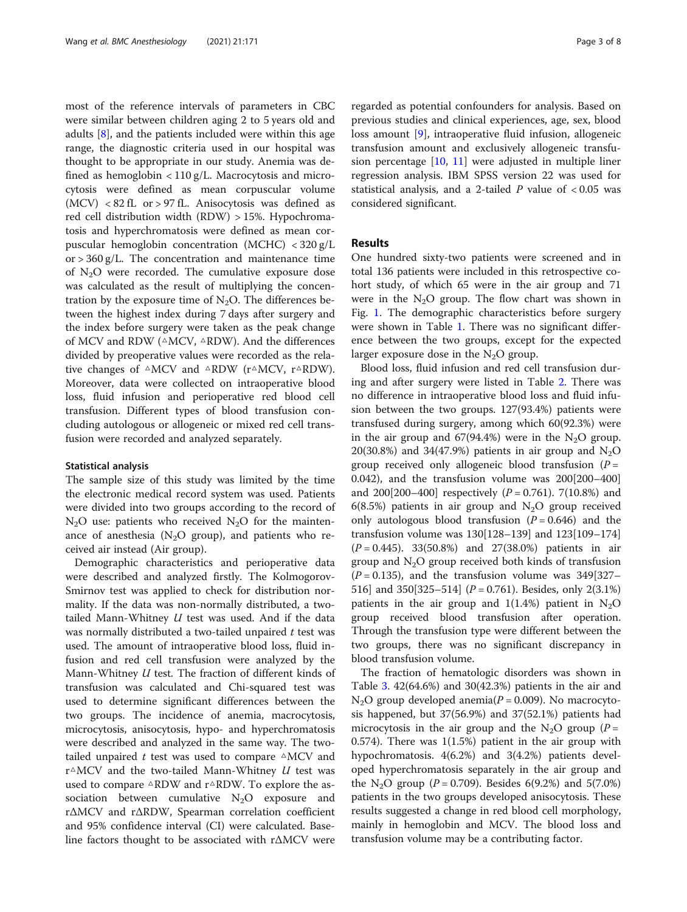most of the reference intervals of parameters in CBC were similar between children aging 2 to 5 years old and adults  $[8]$  $[8]$ , and the patients included were within this age range, the diagnostic criteria used in our hospital was thought to be appropriate in our study. Anemia was defined as hemoglobin  $\langle 110 \text{ g/L}$ . Macrocytosis and microcytosis were defined as mean corpuscular volume  $(MCV)$  < 82 fL or > 97 fL. Anisocytosis was defined as red cell distribution width (RDW) > 15%. Hypochromatosis and hyperchromatosis were defined as mean corpuscular hemoglobin concentration (MCHC) < 320 g/L or  $>$  360 g/L. The concentration and maintenance time of  $N<sub>2</sub>O$  were recorded. The cumulative exposure dose was calculated as the result of multiplying the concentration by the exposure time of  $N_2O$ . The differences between the highest index during 7 days after surgery and the index before surgery were taken as the peak change of MCV and RDW (△MCV, △RDW). And the differences divided by preoperative values were recorded as the relative changes of  $\triangle MCV$  and  $\triangle RDW$  (r $\triangle MCV$ , r $\triangle RDW$ ). Moreover, data were collected on intraoperative blood loss, fluid infusion and perioperative red blood cell transfusion. Different types of blood transfusion concluding autologous or allogeneic or mixed red cell transfusion were recorded and analyzed separately.

#### Statistical analysis

The sample size of this study was limited by the time the electronic medical record system was used. Patients were divided into two groups according to the record of  $N_2O$  use: patients who received  $N_2O$  for the maintenance of anesthesia ( $N<sub>2</sub>O$  group), and patients who received air instead (Air group).

Demographic characteristics and perioperative data were described and analyzed firstly. The Kolmogorov-Smirnov test was applied to check for distribution normality. If the data was non-normally distributed, a twotailed Mann-Whitney  $U$  test was used. And if the data was normally distributed a two-tailed unpaired t test was used. The amount of intraoperative blood loss, fluid infusion and red cell transfusion were analyzed by the Mann-Whitney U test. The fraction of different kinds of transfusion was calculated and Chi-squared test was used to determine significant differences between the two groups. The incidence of anemia, macrocytosis, microcytosis, anisocytosis, hypo- and hyperchromatosis were described and analyzed in the same way. The twotailed unpaired  $t$  test was used to compare  $\triangle MCV$  and r $\triangle MCV$  and the two-tailed Mann-Whitney U test was used to compare △RDW and r△RDW. To explore the association between cumulative  $N_2O$  exposure and rΔMCV and rΔRDW, Spearman correlation coefficient and 95% confidence interval (CI) were calculated. Baseline factors thought to be associated with rΔMCV were regarded as potential confounders for analysis. Based on previous studies and clinical experiences, age, sex, blood loss amount [\[9](#page-7-0)], intraoperative fluid infusion, allogeneic transfusion amount and exclusively allogeneic transfusion percentage [[10](#page-7-0), [11](#page-7-0)] were adjusted in multiple liner regression analysis. IBM SPSS version 22 was used for statistical analysis, and a 2-tailed  $P$  value of  $< 0.05$  was considered significant.

# Results

One hundred sixty-two patients were screened and in total 136 patients were included in this retrospective cohort study, of which 65 were in the air group and 71 were in the  $N_2O$  group. The flow chart was shown in Fig. [1](#page-3-0). The demographic characteristics before surgery were shown in Table [1](#page-3-0). There was no significant difference between the two groups, except for the expected larger exposure dose in the  $N_2O$  group.

Blood loss, fluid infusion and red cell transfusion during and after surgery were listed in Table [2](#page-4-0). There was no difference in intraoperative blood loss and fluid infusion between the two groups. 127(93.4%) patients were transfused during surgery, among which 60(92.3%) were in the air group and  $67(94.4%)$  were in the N<sub>2</sub>O group. 20(30.8%) and 34(47.9%) patients in air group and  $N_2O$ group received only allogeneic blood transfusion  $(P =$ 0.042), and the transfusion volume was 200[200–400] and 200[200–400] respectively  $(P = 0.761)$ . 7(10.8%) and 6(8.5%) patients in air group and  $N_2O$  group received only autologous blood transfusion  $(P = 0.646)$  and the transfusion volume was 130[128–139] and 123[109–174]  $(P = 0.445)$ . 33(50.8%) and 27(38.0%) patients in air group and  $N<sub>2</sub>O$  group received both kinds of transfusion  $(P = 0.135)$ , and the transfusion volume was 349[327– 516] and 350[325–514]  $(P = 0.761)$ . Besides, only 2(3.1%) patients in the air group and  $1(1.4%)$  patient in N<sub>2</sub>O group received blood transfusion after operation. Through the transfusion type were different between the two groups, there was no significant discrepancy in blood transfusion volume.

The fraction of hematologic disorders was shown in Table [3](#page-4-0). 42(64.6%) and 30(42.3%) patients in the air and  $N_2O$  group developed anemia( $P = 0.009$ ). No macrocytosis happened, but 37(56.9%) and 37(52.1%) patients had microcytosis in the air group and the N<sub>2</sub>O group ( $P =$ 0.574). There was 1(1.5%) patient in the air group with hypochromatosis. 4(6.2%) and 3(4.2%) patients developed hyperchromatosis separately in the air group and the N<sub>2</sub>O group ( $P = 0.709$ ). Besides 6(9.2%) and 5(7.0%) patients in the two groups developed anisocytosis. These results suggested a change in red blood cell morphology, mainly in hemoglobin and MCV. The blood loss and transfusion volume may be a contributing factor.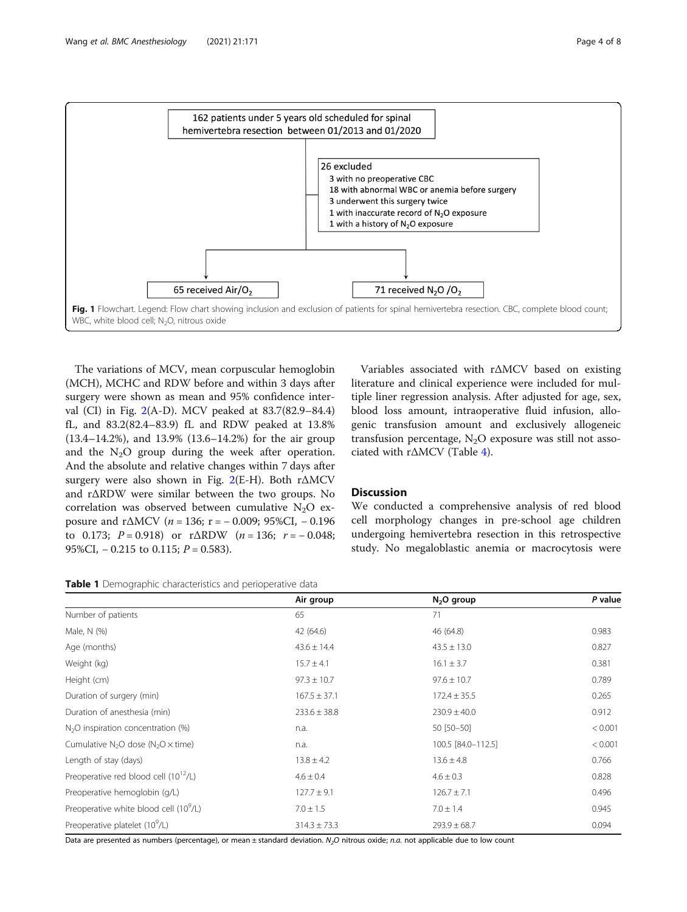<span id="page-3-0"></span>

The variations of MCV, mean corpuscular hemoglobin (MCH), MCHC and RDW before and within 3 days after surgery were shown as mean and 95% confidence interval (CI) in Fig. [2](#page-5-0)(A-D). MCV peaked at 83.7(82.9–84.4) fL, and 83.2(82.4–83.9) fL and RDW peaked at 13.8% (13.4–14.2%), and 13.9% (13.6–14.2%) for the air group and the  $N_2O$  group during the week after operation. And the absolute and relative changes within 7 days after surgery were also shown in Fig. [2\(](#page-5-0)E-H). Both rΔMCV and rΔRDW were similar between the two groups. No correlation was observed between cumulative  $N_2O$  exposure and r $\triangle MCV$  (n = 136; r = - 0.009; 95%CI, - 0.196 to 0.173;  $P = 0.918$ ) or r $\triangle$ RDW (n = 136; r = -0.048; 95%CI,  $-0.215$  to 0.115;  $P = 0.583$ ).

Table 1 Demographic characteristics and perioperative data

Variables associated with rΔMCV based on existing literature and clinical experience were included for multiple liner regression analysis. After adjusted for age, sex, blood loss amount, intraoperative fluid infusion, allogenic transfusion amount and exclusively allogeneic transfusion percentage,  $N_2O$  exposure was still not associated with rΔMCV (Table [4](#page-5-0)).

# **Discussion**

We conducted a comprehensive analysis of red blood cell morphology changes in pre-school age children undergoing hemivertebra resection in this retrospective study. No megaloblastic anemia or macrocytosis were

|                                                    | Air group        | $N2O$ group        | P value |
|----------------------------------------------------|------------------|--------------------|---------|
| Number of patients                                 | 65               | 71                 |         |
| Male, N (%)                                        | 42 (64.6)        | 46 (64.8)          | 0.983   |
| Age (months)                                       | $43.6 \pm 14.4$  | $43.5 \pm 13.0$    | 0.827   |
| Weight (kg)                                        | $15.7 \pm 4.1$   | $16.1 \pm 3.7$     | 0.381   |
| Height (cm)                                        | $97.3 \pm 10.7$  | $97.6 \pm 10.7$    | 0.789   |
| Duration of surgery (min)                          | $167.5 \pm 37.1$ | $172.4 \pm 35.5$   | 0.265   |
| Duration of anesthesia (min)                       | $233.6 \pm 38.8$ | $230.9 \pm 40.0$   | 0.912   |
| $N2O$ inspiration concentration (%)                | n.a.             | 50 [50-50]         | < 0.001 |
| Cumulative $N_2O$ dose ( $N_2O \times$ time)       | n.a.             | 100.5 [84.0-112.5] | < 0.001 |
| Length of stay (days)                              | $13.8 \pm 4.2$   | $13.6 \pm 4.8$     | 0.766   |
| Preoperative red blood cell $(10^{12}/L)$          | $4.6 \pm 0.4$    | $4.6 \pm 0.3$      | 0.828   |
| Preoperative hemoglobin (g/L)                      | $127.7 \pm 9.1$  | $126.7 \pm 7.1$    | 0.496   |
| Preoperative white blood cell (10 <sup>9</sup> /L) | $7.0 \pm 1.5$    | $7.0 \pm 1.4$      | 0.945   |
| Preoperative platelet (10 <sup>9</sup> /L)         | $314.3 \pm 73.3$ | $293.9 \pm 68.7$   | 0.094   |

Data are presented as numbers (percentage), or mean ± standard deviation. N<sub>2</sub>O nitrous oxide; n.a. not applicable due to low count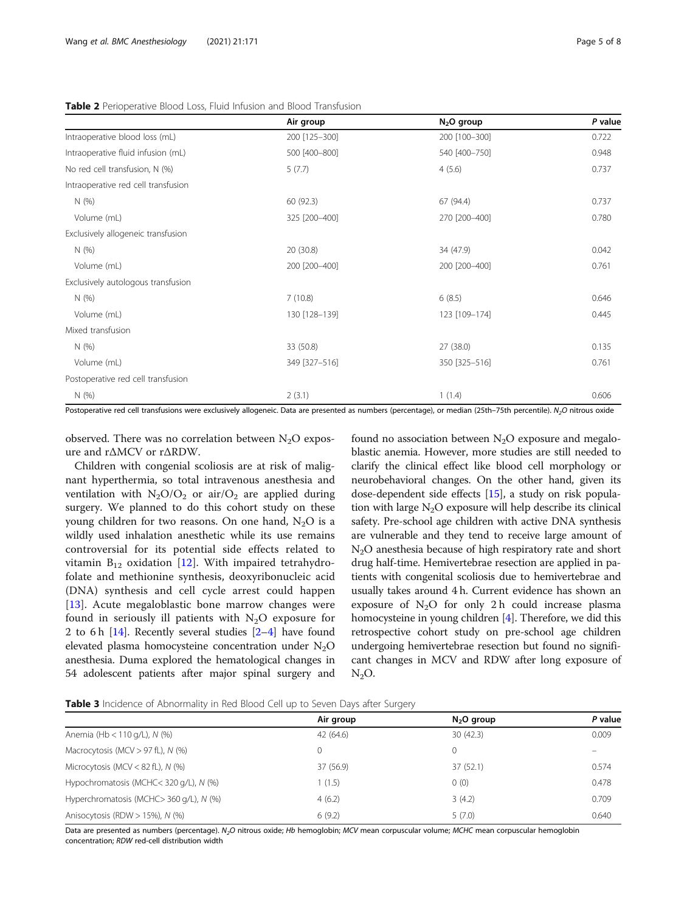| Air group     | $N2O$ group   | P value |
|---------------|---------------|---------|
| 200 [125-300] | 200 [100-300] | 0.722   |
| 500 [400-800] | 540 [400-750] | 0.948   |
| 5(7.7)        | 4(5.6)        | 0.737   |
|               |               |         |
| 60 (92.3)     | 67 (94.4)     | 0.737   |
| 325 [200-400] | 270 [200-400] | 0.780   |
|               |               |         |
| 20 (30.8)     | 34 (47.9)     | 0.042   |
| 200 [200-400] | 200 [200-400] | 0.761   |
|               |               |         |
| 7(10.8)       | 6(8.5)        | 0.646   |
| 130 [128-139] | 123 [109-174] | 0.445   |
|               |               |         |
| 33 (50.8)     | 27 (38.0)     | 0.135   |
| 349 [327-516] | 350 [325-516] | 0.761   |
|               |               |         |
| 2(3.1)        | 1(1.4)        | 0.606   |
|               |               |         |

#### <span id="page-4-0"></span>Table 2 Perioperative Blood Loss, Fluid Infusion and Blood Transfusion

Postoperative red cell transfusions were exclusively allogeneic. Data are presented as numbers (percentage), or median (25th–75th percentile). N<sub>2</sub>O nitrous oxide

observed. There was no correlation between  $N_2O$  exposure and rΔMCV or rΔRDW.

Children with congenial scoliosis are at risk of malignant hyperthermia, so total intravenous anesthesia and ventilation with  $N_2O/O_2$  or air/ $O_2$  are applied during surgery. We planned to do this cohort study on these young children for two reasons. On one hand,  $N_2O$  is a wildly used inhalation anesthetic while its use remains controversial for its potential side effects related to vitamin  $B_{12}$  oxidation [[12\]](#page-7-0). With impaired tetrahydrofolate and methionine synthesis, deoxyribonucleic acid (DNA) synthesis and cell cycle arrest could happen [[13\]](#page-7-0). Acute megaloblastic bone marrow changes were found in seriously ill patients with  $N_2O$  exposure for 2 to 6 h  $[14]$  $[14]$  $[14]$ . Recently several studies  $[2-4]$  $[2-4]$  $[2-4]$  have found elevated plasma homocysteine concentration under  $N_2O$ anesthesia. Duma explored the hematological changes in 54 adolescent patients after major spinal surgery and found no association between  $N_2O$  exposure and megaloblastic anemia. However, more studies are still needed to clarify the clinical effect like blood cell morphology or neurobehavioral changes. On the other hand, given its dose-dependent side effects [[15](#page-7-0)], a study on risk population with large  $N<sub>2</sub>O$  exposure will help describe its clinical safety. Pre-school age children with active DNA synthesis are vulnerable and they tend to receive large amount of N2O anesthesia because of high respiratory rate and short drug half-time. Hemivertebrae resection are applied in patients with congenital scoliosis due to hemivertebrae and usually takes around 4 h. Current evidence has shown an exposure of  $N_2O$  for only 2 h could increase plasma homocysteine in young children [\[4](#page-7-0)]. Therefore, we did this retrospective cohort study on pre-school age children undergoing hemivertebrae resection but found no significant changes in MCV and RDW after long exposure of  $N_2O$ .

Table 3 Incidence of Abnormality in Red Blood Cell up to Seven Days after Surgery

|                                         | Air group    | $N2O$ group | P value |
|-----------------------------------------|--------------|-------------|---------|
| Anemia (Hb < $110$ g/L), N (%)          | 42 (64.6)    | 30(42.3)    | 0.009   |
| Macrocytosis (MCV > 97 fL), N (%)       | $\mathbf{0}$ | 0           |         |
| Microcytosis (MCV < 82 fL), $N$ (%)     | 37 (56.9)    | 37(52.1)    | 0.574   |
| Hypochromatosis (MCHC<320 g/L), N (%)   | 1(1.5)       | 0(0)        | 0.478   |
| Hyperchromatosis (MCHC> 360 g/L), N (%) | 4(6.2)       | 3(4.2)      | 0.709   |
| Anisocytosis (RDW > 15%), N (%)         | 6(9.2)       | 5(7.0)      | 0.640   |

Data are presented as numbers (percentage). N<sub>2</sub>O nitrous oxide; Hb hemoglobin; MCV mean corpuscular volume; MCHC mean corpuscular hemoglobin concentration; RDW red-cell distribution width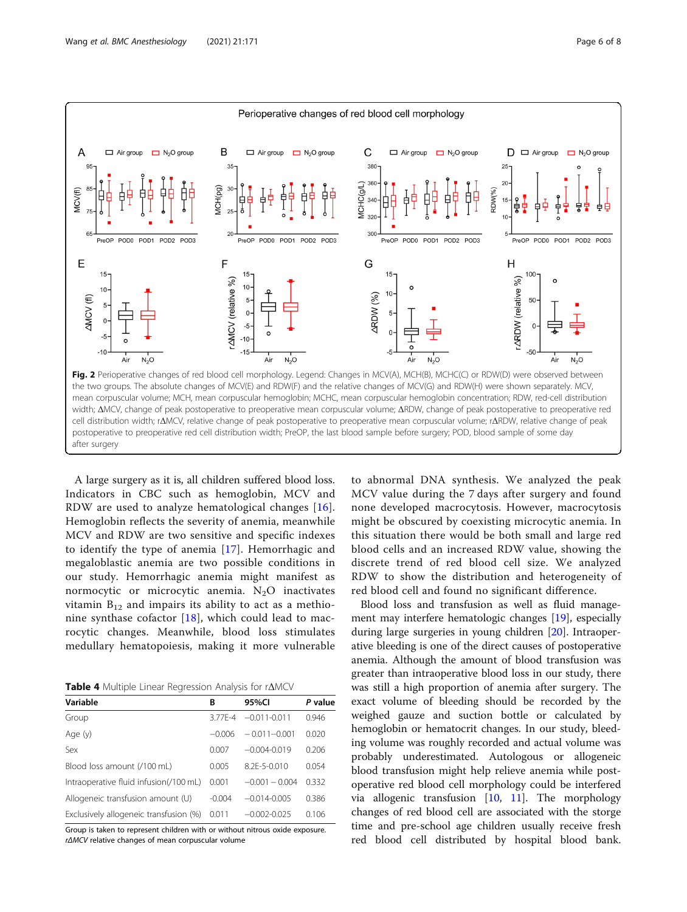<span id="page-5-0"></span>

A large surgery as it is, all children suffered blood loss. Indicators in CBC such as hemoglobin, MCV and RDW are used to analyze hematological changes [[16](#page-7-0)]. Hemoglobin reflects the severity of anemia, meanwhile MCV and RDW are two sensitive and specific indexes to identify the type of anemia [[17](#page-7-0)]. Hemorrhagic and megaloblastic anemia are two possible conditions in our study. Hemorrhagic anemia might manifest as normocytic or microcytic anemia.  $N_2O$  inactivates vitamin  $B_{12}$  and impairs its ability to act as a methionine synthase cofactor  $[18]$ , which could lead to macrocytic changes. Meanwhile, blood loss stimulates medullary hematopoiesis, making it more vulnerable

Table 4 Multiple Linear Regression Analysis for rΔMCV

| Variable                               | В        | 95%CI            | P value |
|----------------------------------------|----------|------------------|---------|
| Group                                  | 377F-4   | $-0.011 - 0.011$ | 0.946   |
| Age (y)                                | $-0.006$ | $-0.011 - 0.001$ | 0.020   |
| Sex                                    | 0.007    | $-0.004 - 0.019$ | 0.206   |
| Blood loss amount (/100 mL)            | 0.005    | 8.2F-5-0.010     | 0.054   |
| Intraoperative fluid infusion(/100 mL) | 0.001    | $-0.001 - 0.004$ | 0.332   |
| Allogeneic transfusion amount (U)      | $-0.004$ | $-0.014 - 0.005$ | 0.386   |
| Exclusively allogeneic transfusion (%) | 0.011    | $-0.002 - 0.025$ | 0.106   |

Group is taken to represent children with or without nitrous oxide exposure. rΔMCV relative changes of mean corpuscular volume

to abnormal DNA synthesis. We analyzed the peak MCV value during the 7 days after surgery and found none developed macrocytosis. However, macrocytosis might be obscured by coexisting microcytic anemia. In this situation there would be both small and large red blood cells and an increased RDW value, showing the discrete trend of red blood cell size. We analyzed RDW to show the distribution and heterogeneity of red blood cell and found no significant difference.

Blood loss and transfusion as well as fluid management may interfere hematologic changes [\[19\]](#page-7-0), especially during large surgeries in young children [\[20\]](#page-7-0). Intraoperative bleeding is one of the direct causes of postoperative anemia. Although the amount of blood transfusion was greater than intraoperative blood loss in our study, there was still a high proportion of anemia after surgery. The exact volume of bleeding should be recorded by the weighed gauze and suction bottle or calculated by hemoglobin or hematocrit changes. In our study, bleeding volume was roughly recorded and actual volume was probably underestimated. Autologous or allogeneic blood transfusion might help relieve anemia while postoperative red blood cell morphology could be interfered via allogenic transfusion [\[10](#page-7-0), [11\]](#page-7-0). The morphology changes of red blood cell are associated with the storge time and pre-school age children usually receive fresh red blood cell distributed by hospital blood bank.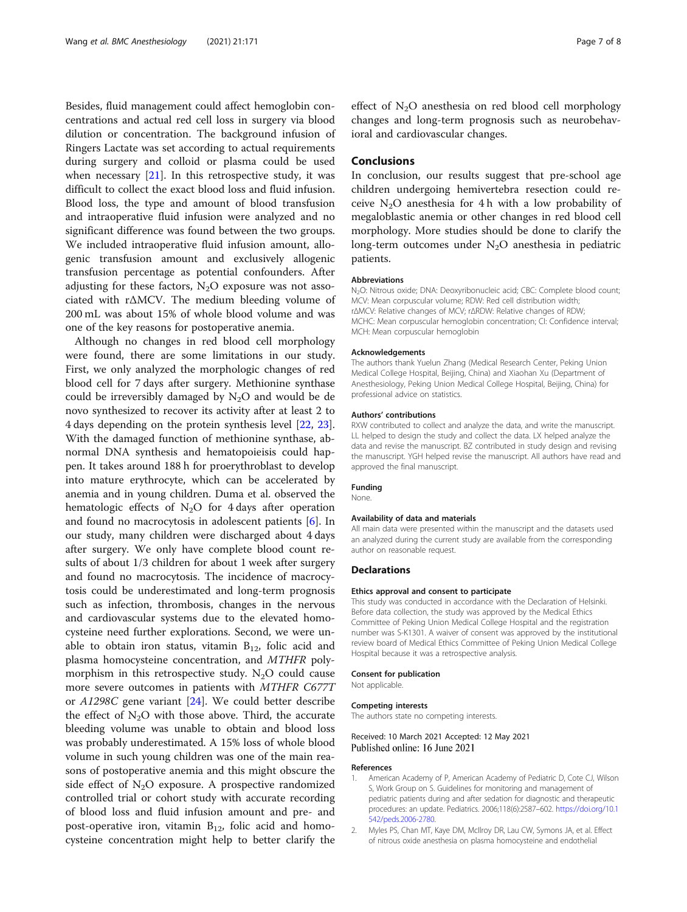<span id="page-6-0"></span>Besides, fluid management could affect hemoglobin concentrations and actual red cell loss in surgery via blood dilution or concentration. The background infusion of Ringers Lactate was set according to actual requirements during surgery and colloid or plasma could be used when necessary  $[21]$ . In this retrospective study, it was difficult to collect the exact blood loss and fluid infusion. Blood loss, the type and amount of blood transfusion and intraoperative fluid infusion were analyzed and no significant difference was found between the two groups. We included intraoperative fluid infusion amount, allogenic transfusion amount and exclusively allogenic transfusion percentage as potential confounders. After adjusting for these factors,  $N_2O$  exposure was not associated with rΔMCV. The medium bleeding volume of 200 mL was about 15% of whole blood volume and was one of the key reasons for postoperative anemia.

Although no changes in red blood cell morphology were found, there are some limitations in our study. First, we only analyzed the morphologic changes of red blood cell for 7 days after surgery. Methionine synthase could be irreversibly damaged by  $N_2O$  and would be de novo synthesized to recover its activity after at least 2 to 4 days depending on the protein synthesis level [[22,](#page-7-0) [23](#page-7-0)]. With the damaged function of methionine synthase, abnormal DNA synthesis and hematopoieisis could happen. It takes around 188 h for proerythroblast to develop into mature erythrocyte, which can be accelerated by anemia and in young children. Duma et al. observed the hematologic effects of  $N_2O$  for 4 days after operation and found no macrocytosis in adolescent patients [\[6](#page-7-0)]. In our study, many children were discharged about 4 days after surgery. We only have complete blood count results of about 1/3 children for about 1 week after surgery and found no macrocytosis. The incidence of macrocytosis could be underestimated and long-term prognosis such as infection, thrombosis, changes in the nervous and cardiovascular systems due to the elevated homocysteine need further explorations. Second, we were unable to obtain iron status, vitamin  $B_{12}$ , folic acid and plasma homocysteine concentration, and MTHFR polymorphism in this retrospective study.  $N_2O$  could cause more severe outcomes in patients with MTHFR C677T or  $A1298C$  gene variant  $[24]$  $[24]$ . We could better describe the effect of  $N_2O$  with those above. Third, the accurate bleeding volume was unable to obtain and blood loss was probably underestimated. A 15% loss of whole blood volume in such young children was one of the main reasons of postoperative anemia and this might obscure the side effect of  $N_2O$  exposure. A prospective randomized controlled trial or cohort study with accurate recording of blood loss and fluid infusion amount and pre- and post-operative iron, vitamin  $B_{12}$ , folic acid and homocysteine concentration might help to better clarify the effect of  $N<sub>2</sub>O$  anesthesia on red blood cell morphology changes and long-term prognosis such as neurobehavioral and cardiovascular changes.

# Conclusions

In conclusion, our results suggest that pre-school age children undergoing hemivertebra resection could receive  $N_2O$  anesthesia for 4 h with a low probability of megaloblastic anemia or other changes in red blood cell morphology. More studies should be done to clarify the long-term outcomes under N<sub>2</sub>O anesthesia in pediatric patients.

#### Abbreviations

N<sub>2</sub>O: Nitrous oxide; DNA: Deoxyribonucleic acid; CBC: Complete blood count; MCV: Mean corpuscular volume; RDW: Red cell distribution width; rΔMCV: Relative changes of MCV; rΔRDW: Relative changes of RDW; MCHC: Mean corpuscular hemoglobin concentration; CI: Confidence interval; MCH: Mean corpuscular hemoglobin

#### Acknowledgements

The authors thank Yuelun Zhang (Medical Research Center, Peking Union Medical College Hospital, Beijing, China) and Xiaohan Xu (Department of Anesthesiology, Peking Union Medical College Hospital, Beijing, China) for professional advice on statistics.

#### Authors' contributions

RXW contributed to collect and analyze the data, and write the manuscript. LL helped to design the study and collect the data. LX helped analyze the data and revise the manuscript. BZ contributed in study design and revising the manuscript. YGH helped revise the manuscript. All authors have read and approved the final manuscript.

#### Funding

None.

### Availability of data and materials

All main data were presented within the manuscript and the datasets used an analyzed during the current study are available from the corresponding author on reasonable request.

### Declarations

#### Ethics approval and consent to participate

This study was conducted in accordance with the Declaration of Helsinki. Before data collection, the study was approved by the Medical Ethics Committee of Peking Union Medical College Hospital and the registration number was S-K1301. A waiver of consent was approved by the institutional review board of Medical Ethics Committee of Peking Union Medical College Hospital because it was a retrospective analysis.

#### Consent for publication

Not applicable.

#### Competing interests

The authors state no competing interests.

# Received: 10 March 2021 Accepted: 12 May 2021 Published online: 16 June 2021

#### References

- 1. American Academy of P, American Academy of Pediatric D, Cote CJ, Wilson S, Work Group on S. Guidelines for monitoring and management of pediatric patients during and after sedation for diagnostic and therapeutic procedures: an update. Pediatrics. 2006;118(6):2587–602. [https://doi.org/10.1](https://doi.org/10.1542/peds.2006-2780) [542/peds.2006-2780.](https://doi.org/10.1542/peds.2006-2780)
- 2. Myles PS, Chan MT, Kaye DM, McIlroy DR, Lau CW, Symons JA, et al. Effect of nitrous oxide anesthesia on plasma homocysteine and endothelial